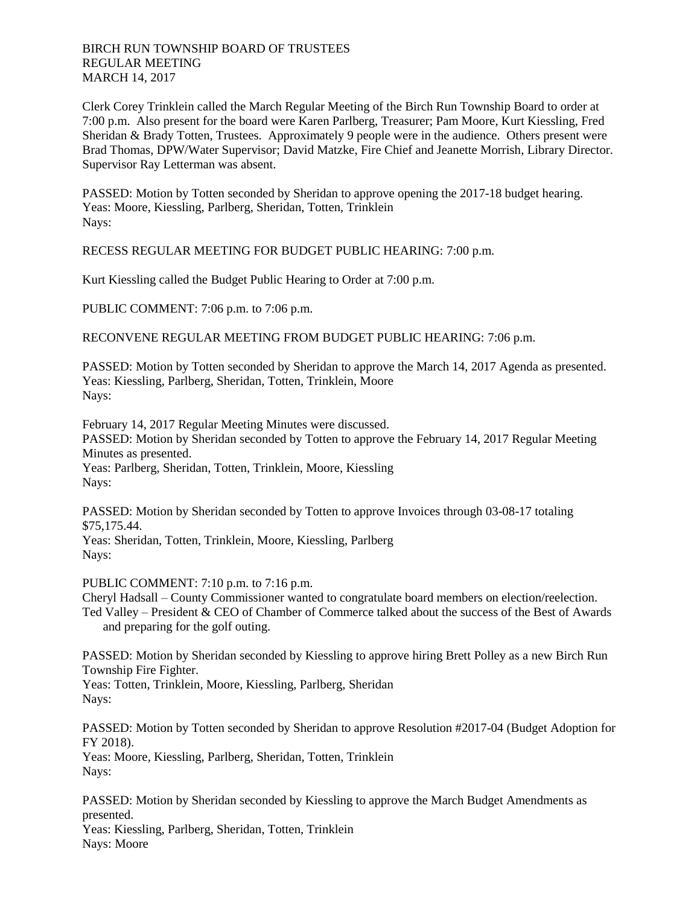## BIRCH RUN TOWNSHIP BOARD OF TRUSTEES REGULAR MEETING MARCH 14, 2017

Clerk Corey Trinklein called the March Regular Meeting of the Birch Run Township Board to order at 7:00 p.m. Also present for the board were Karen Parlberg, Treasurer; Pam Moore, Kurt Kiessling, Fred Sheridan & Brady Totten, Trustees. Approximately 9 people were in the audience. Others present were Brad Thomas, DPW/Water Supervisor; David Matzke, Fire Chief and Jeanette Morrish, Library Director. Supervisor Ray Letterman was absent.

PASSED: Motion by Totten seconded by Sheridan to approve opening the 2017-18 budget hearing. Yeas: Moore, Kiessling, Parlberg, Sheridan, Totten, Trinklein Nays:

RECESS REGULAR MEETING FOR BUDGET PUBLIC HEARING: 7:00 p.m.

Kurt Kiessling called the Budget Public Hearing to Order at 7:00 p.m.

PUBLIC COMMENT: 7:06 p.m. to 7:06 p.m.

RECONVENE REGULAR MEETING FROM BUDGET PUBLIC HEARING: 7:06 p.m.

PASSED: Motion by Totten seconded by Sheridan to approve the March 14, 2017 Agenda as presented. Yeas: Kiessling, Parlberg, Sheridan, Totten, Trinklein, Moore Nays:

February 14, 2017 Regular Meeting Minutes were discussed. PASSED: Motion by Sheridan seconded by Totten to approve the February 14, 2017 Regular Meeting Minutes as presented. Yeas: Parlberg, Sheridan, Totten, Trinklein, Moore, Kiessling Nays:

PASSED: Motion by Sheridan seconded by Totten to approve Invoices through 03-08-17 totaling \$75,175.44.

Yeas: Sheridan, Totten, Trinklein, Moore, Kiessling, Parlberg Nays:

PUBLIC COMMENT: 7:10 p.m. to 7:16 p.m.

Cheryl Hadsall – County Commissioner wanted to congratulate board members on election/reelection. Ted Valley – President & CEO of Chamber of Commerce talked about the success of the Best of Awards and preparing for the golf outing.

PASSED: Motion by Sheridan seconded by Kiessling to approve hiring Brett Polley as a new Birch Run Township Fire Fighter.

Yeas: Totten, Trinklein, Moore, Kiessling, Parlberg, Sheridan Nays:

PASSED: Motion by Totten seconded by Sheridan to approve Resolution #2017-04 (Budget Adoption for FY 2018).

Yeas: Moore, Kiessling, Parlberg, Sheridan, Totten, Trinklein Nays:

PASSED: Motion by Sheridan seconded by Kiessling to approve the March Budget Amendments as presented.

Yeas: Kiessling, Parlberg, Sheridan, Totten, Trinklein Nays: Moore